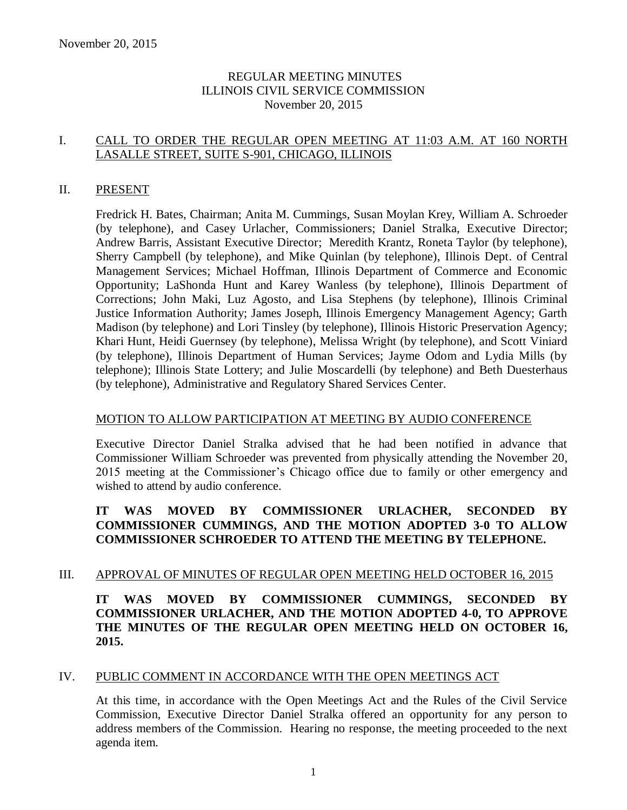## REGULAR MEETING MINUTES ILLINOIS CIVIL SERVICE COMMISSION November 20, 2015

## I. CALL TO ORDER THE REGULAR OPEN MEETING AT 11:03 A.M. AT 160 NORTH LASALLE STREET, SUITE S-901, CHICAGO, ILLINOIS

#### II. PRESENT

Fredrick H. Bates, Chairman; Anita M. Cummings, Susan Moylan Krey, William A. Schroeder (by telephone), and Casey Urlacher, Commissioners; Daniel Stralka, Executive Director; Andrew Barris, Assistant Executive Director; Meredith Krantz, Roneta Taylor (by telephone), Sherry Campbell (by telephone), and Mike Quinlan (by telephone), Illinois Dept. of Central Management Services; Michael Hoffman, Illinois Department of Commerce and Economic Opportunity; LaShonda Hunt and Karey Wanless (by telephone), Illinois Department of Corrections; John Maki, Luz Agosto, and Lisa Stephens (by telephone), Illinois Criminal Justice Information Authority; James Joseph, Illinois Emergency Management Agency; Garth Madison (by telephone) and Lori Tinsley (by telephone), Illinois Historic Preservation Agency; Khari Hunt, Heidi Guernsey (by telephone), Melissa Wright (by telephone), and Scott Viniard (by telephone), Illinois Department of Human Services; Jayme Odom and Lydia Mills (by telephone); Illinois State Lottery; and Julie Moscardelli (by telephone) and Beth Duesterhaus (by telephone), Administrative and Regulatory Shared Services Center.

#### MOTION TO ALLOW PARTICIPATION AT MEETING BY AUDIO CONFERENCE

Executive Director Daniel Stralka advised that he had been notified in advance that Commissioner William Schroeder was prevented from physically attending the November 20, 2015 meeting at the Commissioner's Chicago office due to family or other emergency and wished to attend by audio conference.

## **IT WAS MOVED BY COMMISSIONER URLACHER, SECONDED BY COMMISSIONER CUMMINGS, AND THE MOTION ADOPTED 3-0 TO ALLOW COMMISSIONER SCHROEDER TO ATTEND THE MEETING BY TELEPHONE.**

## III. APPROVAL OF MINUTES OF REGULAR OPEN MEETING HELD OCTOBER 16, 2015

## **IT WAS MOVED BY COMMISSIONER CUMMINGS, SECONDED BY COMMISSIONER URLACHER, AND THE MOTION ADOPTED 4-0, TO APPROVE THE MINUTES OF THE REGULAR OPEN MEETING HELD ON OCTOBER 16, 2015.**

#### IV. PUBLIC COMMENT IN ACCORDANCE WITH THE OPEN MEETINGS ACT

At this time, in accordance with the Open Meetings Act and the Rules of the Civil Service Commission, Executive Director Daniel Stralka offered an opportunity for any person to address members of the Commission. Hearing no response, the meeting proceeded to the next agenda item.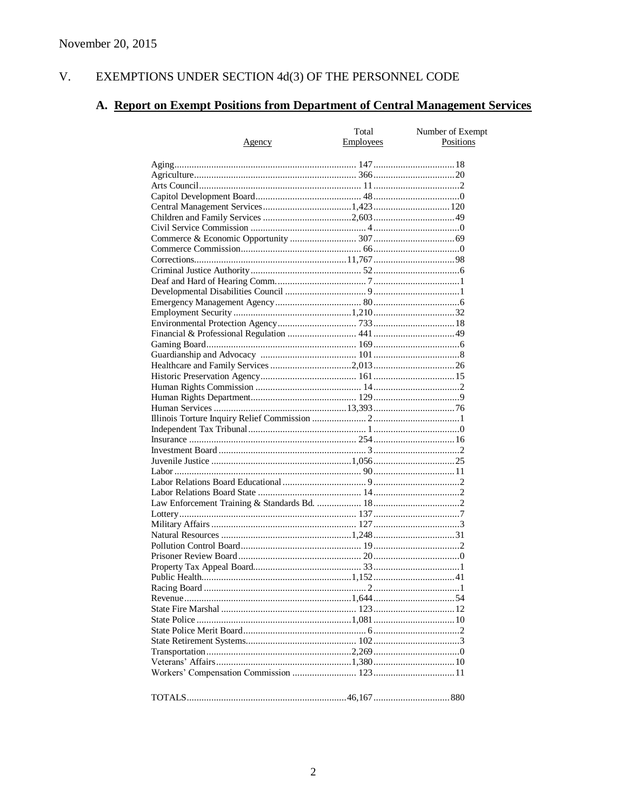#### $V<sub>1</sub>$ EXEMPTIONS UNDER SECTION  $4d(3)$  OF THE PERSONNEL CODE

# A. Report on Exempt Positions from Department of Central Management Services

|               | Total            | Number of Exempt |
|---------------|------------------|------------------|
| <u>Agency</u> | <b>Employees</b> | Positions        |
|               |                  |                  |
|               |                  |                  |
|               |                  |                  |
|               |                  |                  |
|               |                  |                  |
|               |                  |                  |
|               |                  |                  |
|               |                  |                  |
|               |                  |                  |
|               |                  |                  |
|               |                  |                  |
|               |                  |                  |
|               |                  |                  |
|               |                  |                  |
|               |                  |                  |
|               |                  |                  |
|               |                  |                  |
|               |                  |                  |
|               |                  |                  |
|               |                  |                  |
|               |                  |                  |
|               |                  |                  |
|               |                  |                  |
|               |                  |                  |
|               |                  |                  |
|               |                  |                  |
|               |                  |                  |
|               |                  |                  |
|               |                  |                  |
|               |                  |                  |
|               |                  |                  |
|               |                  |                  |
|               |                  |                  |
|               |                  |                  |
|               |                  |                  |
|               |                  |                  |
|               |                  |                  |
|               |                  |                  |
|               |                  |                  |
|               |                  |                  |
|               |                  |                  |
|               |                  |                  |
|               |                  |                  |
|               |                  |                  |
|               |                  |                  |
|               |                  |                  |
|               |                  |                  |
|               |                  |                  |
|               |                  |                  |
|               |                  |                  |
|               |                  |                  |
|               |                  |                  |
|               |                  |                  |
|               |                  |                  |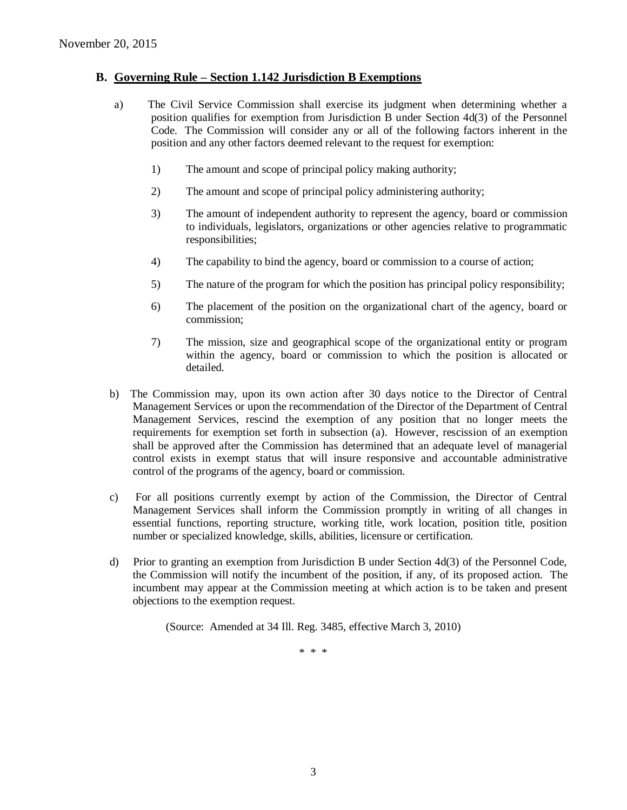#### **B. Governing Rule – Section 1.142 Jurisdiction B Exemptions**

- a) The Civil Service Commission shall exercise its judgment when determining whether a position qualifies for exemption from Jurisdiction B under Section 4d(3) of the Personnel Code. The Commission will consider any or all of the following factors inherent in the position and any other factors deemed relevant to the request for exemption:
	- 1) The amount and scope of principal policy making authority;
	- 2) The amount and scope of principal policy administering authority;
	- 3) The amount of independent authority to represent the agency, board or commission to individuals, legislators, organizations or other agencies relative to programmatic responsibilities;
	- 4) The capability to bind the agency, board or commission to a course of action;
	- 5) The nature of the program for which the position has principal policy responsibility;
	- 6) The placement of the position on the organizational chart of the agency, board or commission;
	- 7) The mission, size and geographical scope of the organizational entity or program within the agency, board or commission to which the position is allocated or detailed.
- b) The Commission may, upon its own action after 30 days notice to the Director of Central Management Services or upon the recommendation of the Director of the Department of Central Management Services, rescind the exemption of any position that no longer meets the requirements for exemption set forth in subsection (a). However, rescission of an exemption shall be approved after the Commission has determined that an adequate level of managerial control exists in exempt status that will insure responsive and accountable administrative control of the programs of the agency, board or commission.
- c) For all positions currently exempt by action of the Commission, the Director of Central Management Services shall inform the Commission promptly in writing of all changes in essential functions, reporting structure, working title, work location, position title, position number or specialized knowledge, skills, abilities, licensure or certification.
- d) Prior to granting an exemption from Jurisdiction B under Section 4d(3) of the Personnel Code, the Commission will notify the incumbent of the position, if any, of its proposed action. The incumbent may appear at the Commission meeting at which action is to be taken and present objections to the exemption request.

(Source: Amended at 34 Ill. Reg. 3485, effective March 3, 2010)

\* \* \*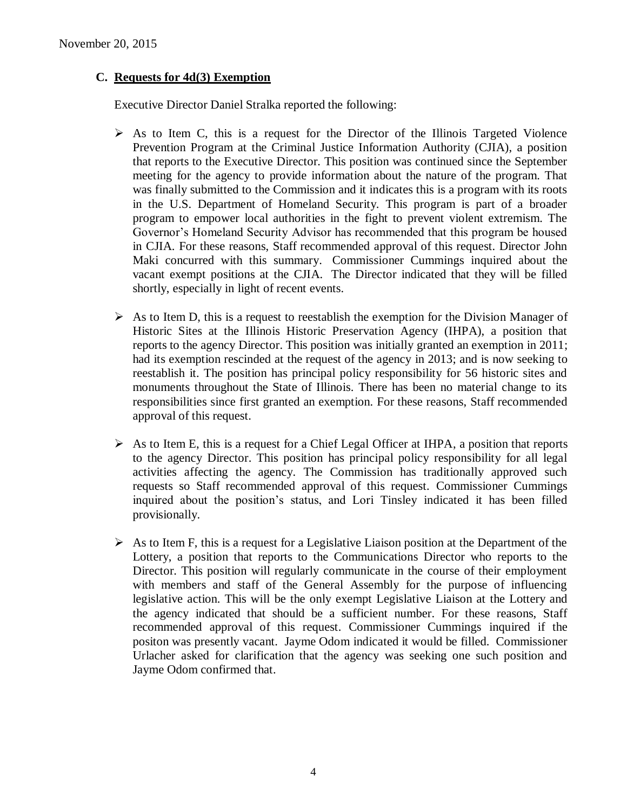## **C. Requests for 4d(3) Exemption**

Executive Director Daniel Stralka reported the following:

- $\triangleright$  As to Item C, this is a request for the Director of the Illinois Targeted Violence Prevention Program at the Criminal Justice Information Authority (CJIA), a position that reports to the Executive Director. This position was continued since the September meeting for the agency to provide information about the nature of the program. That was finally submitted to the Commission and it indicates this is a program with its roots in the U.S. Department of Homeland Security. This program is part of a broader program to empower local authorities in the fight to prevent violent extremism. The Governor's Homeland Security Advisor has recommended that this program be housed in CJIA. For these reasons, Staff recommended approval of this request. Director John Maki concurred with this summary. Commissioner Cummings inquired about the vacant exempt positions at the CJIA. The Director indicated that they will be filled shortly, especially in light of recent events.
- $\triangleright$  As to Item D, this is a request to reestablish the exemption for the Division Manager of Historic Sites at the Illinois Historic Preservation Agency (IHPA), a position that reports to the agency Director. This position was initially granted an exemption in 2011; had its exemption rescinded at the request of the agency in 2013; and is now seeking to reestablish it. The position has principal policy responsibility for 56 historic sites and monuments throughout the State of Illinois. There has been no material change to its responsibilities since first granted an exemption. For these reasons, Staff recommended approval of this request.
- $\triangleright$  As to Item E, this is a request for a Chief Legal Officer at IHPA, a position that reports to the agency Director. This position has principal policy responsibility for all legal activities affecting the agency. The Commission has traditionally approved such requests so Staff recommended approval of this request. Commissioner Cummings inquired about the position's status, and Lori Tinsley indicated it has been filled provisionally.
- $\triangleright$  As to Item F, this is a request for a Legislative Liaison position at the Department of the Lottery, a position that reports to the Communications Director who reports to the Director. This position will regularly communicate in the course of their employment with members and staff of the General Assembly for the purpose of influencing legislative action. This will be the only exempt Legislative Liaison at the Lottery and the agency indicated that should be a sufficient number. For these reasons, Staff recommended approval of this request. Commissioner Cummings inquired if the positon was presently vacant. Jayme Odom indicated it would be filled. Commissioner Urlacher asked for clarification that the agency was seeking one such position and Jayme Odom confirmed that.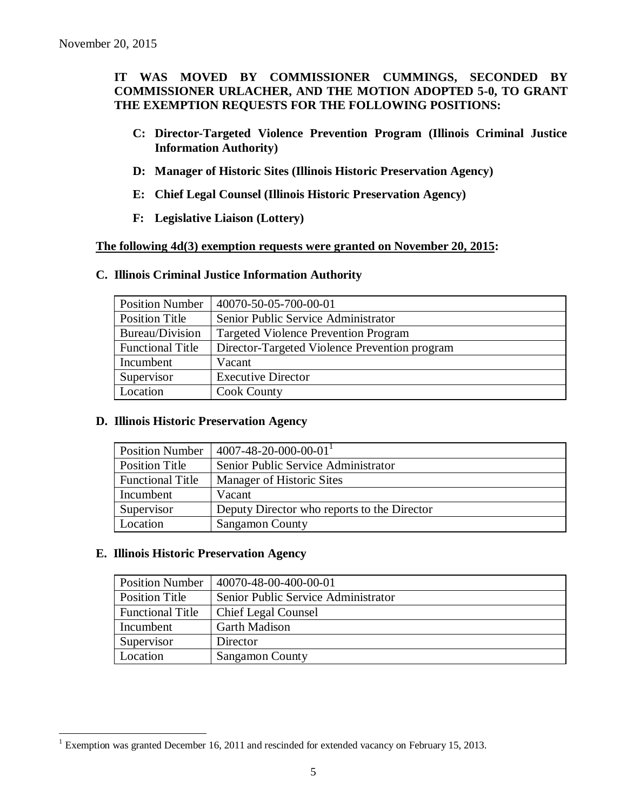## **IT WAS MOVED BY COMMISSIONER CUMMINGS, SECONDED BY COMMISSIONER URLACHER, AND THE MOTION ADOPTED 5-0, TO GRANT THE EXEMPTION REQUESTS FOR THE FOLLOWING POSITIONS:**

- **C: Director-Targeted Violence Prevention Program (Illinois Criminal Justice Information Authority)**
- **D: Manager of Historic Sites (Illinois Historic Preservation Agency)**
- **E: Chief Legal Counsel (Illinois Historic Preservation Agency)**
- **F: Legislative Liaison (Lottery)**

## **The following 4d(3) exemption requests were granted on November 20, 2015:**

#### **C. Illinois Criminal Justice Information Authority**

| <b>Position Number</b>  | 40070-50-05-700-00-01                         |
|-------------------------|-----------------------------------------------|
| <b>Position Title</b>   | Senior Public Service Administrator           |
| Bureau/Division         | <b>Targeted Violence Prevention Program</b>   |
| <b>Functional Title</b> | Director-Targeted Violence Prevention program |
| Incumbent               | Vacant                                        |
| Supervisor              | <b>Executive Director</b>                     |
| Location                | <b>Cook County</b>                            |

#### **D. Illinois Historic Preservation Agency**

| <b>Position Number</b>  | $4007 - 48 - 20 - 000 - 00 - 01$            |
|-------------------------|---------------------------------------------|
| <b>Position Title</b>   | Senior Public Service Administrator         |
| <b>Functional Title</b> | Manager of Historic Sites                   |
| Incumbent               | Vacant                                      |
| Supervisor              | Deputy Director who reports to the Director |
| Location                | <b>Sangamon County</b>                      |

## **E. Illinois Historic Preservation Agency**

 $\overline{a}$ 

| <b>Position Number</b>  | 40070-48-00-400-00-01               |
|-------------------------|-------------------------------------|
| <b>Position Title</b>   | Senior Public Service Administrator |
| <b>Functional Title</b> | <b>Chief Legal Counsel</b>          |
| Incumbent               | <b>Garth Madison</b>                |
| Supervisor              | Director                            |
| Location                | <b>Sangamon County</b>              |

<sup>&</sup>lt;sup>1</sup> Exemption was granted December 16, 2011 and rescinded for extended vacancy on February 15, 2013.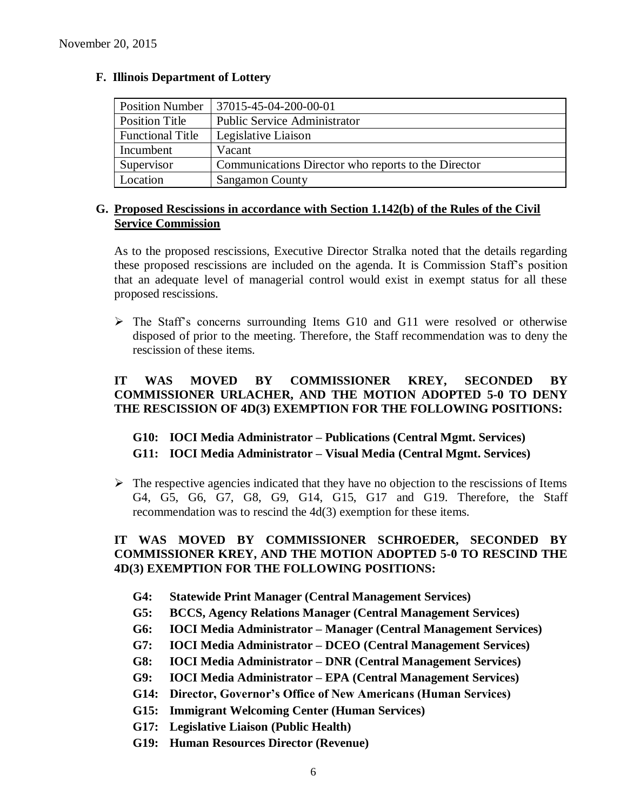| <b>Position Number</b>  | 37015-45-04-200-00-01                               |
|-------------------------|-----------------------------------------------------|
| <b>Position Title</b>   | <b>Public Service Administrator</b>                 |
| <b>Functional Title</b> | Legislative Liaison                                 |
| Incumbent               | Vacant                                              |
| Supervisor              | Communications Director who reports to the Director |
| Location                | <b>Sangamon County</b>                              |

## **F. Illinois Department of Lottery**

## **G. Proposed Rescissions in accordance with Section 1.142(b) of the Rules of the Civil Service Commission**

As to the proposed rescissions, Executive Director Stralka noted that the details regarding these proposed rescissions are included on the agenda. It is Commission Staff's position that an adequate level of managerial control would exist in exempt status for all these proposed rescissions.

 $\triangleright$  The Staff's concerns surrounding Items G10 and G11 were resolved or otherwise disposed of prior to the meeting. Therefore, the Staff recommendation was to deny the rescission of these items.

## **IT WAS MOVED BY COMMISSIONER KREY, SECONDED BY COMMISSIONER URLACHER, AND THE MOTION ADOPTED 5-0 TO DENY THE RESCISSION OF 4D(3) EXEMPTION FOR THE FOLLOWING POSITIONS:**

## **G10: IOCI Media Administrator – Publications (Central Mgmt. Services) G11: IOCI Media Administrator – Visual Media (Central Mgmt. Services)**

 $\triangleright$  The respective agencies indicated that they have no objection to the rescissions of Items G4, G5, G6, G7, G8, G9, G14, G15, G17 and G19. Therefore, the Staff recommendation was to rescind the 4d(3) exemption for these items.

## **IT WAS MOVED BY COMMISSIONER SCHROEDER, SECONDED BY COMMISSIONER KREY, AND THE MOTION ADOPTED 5-0 TO RESCIND THE 4D(3) EXEMPTION FOR THE FOLLOWING POSITIONS:**

- **G4: Statewide Print Manager (Central Management Services)**
- **G5: BCCS, Agency Relations Manager (Central Management Services)**
- **G6: IOCI Media Administrator – Manager (Central Management Services)**
- **G7: IOCI Media Administrator – DCEO (Central Management Services)**
- **G8: IOCI Media Administrator – DNR (Central Management Services)**
- **G9: IOCI Media Administrator – EPA (Central Management Services)**
- **G14: Director, Governor's Office of New Americans (Human Services)**
- **G15: Immigrant Welcoming Center (Human Services)**
- **G17: Legislative Liaison (Public Health)**
- **G19: Human Resources Director (Revenue)**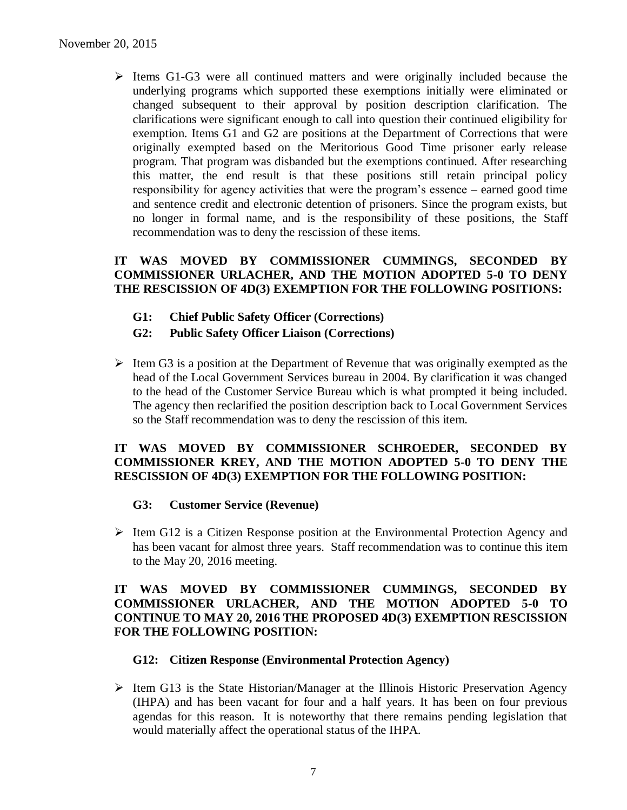$\triangleright$  Items G1-G3 were all continued matters and were originally included because the underlying programs which supported these exemptions initially were eliminated or changed subsequent to their approval by position description clarification. The clarifications were significant enough to call into question their continued eligibility for exemption. Items G1 and G2 are positions at the Department of Corrections that were originally exempted based on the Meritorious Good Time prisoner early release program. That program was disbanded but the exemptions continued. After researching this matter, the end result is that these positions still retain principal policy responsibility for agency activities that were the program's essence – earned good time and sentence credit and electronic detention of prisoners. Since the program exists, but no longer in formal name, and is the responsibility of these positions, the Staff recommendation was to deny the rescission of these items.

## **IT WAS MOVED BY COMMISSIONER CUMMINGS, SECONDED BY COMMISSIONER URLACHER, AND THE MOTION ADOPTED 5-0 TO DENY THE RESCISSION OF 4D(3) EXEMPTION FOR THE FOLLOWING POSITIONS:**

- **G1: Chief Public Safety Officer (Corrections)**
- **G2: Public Safety Officer Liaison (Corrections)**
- $\triangleright$  Item G3 is a position at the Department of Revenue that was originally exempted as the head of the Local Government Services bureau in 2004. By clarification it was changed to the head of the Customer Service Bureau which is what prompted it being included. The agency then reclarified the position description back to Local Government Services so the Staff recommendation was to deny the rescission of this item.

## **IT WAS MOVED BY COMMISSIONER SCHROEDER, SECONDED BY COMMISSIONER KREY, AND THE MOTION ADOPTED 5-0 TO DENY THE RESCISSION OF 4D(3) EXEMPTION FOR THE FOLLOWING POSITION:**

#### **G3: Customer Service (Revenue)**

 $\triangleright$  Item G12 is a Citizen Response position at the Environmental Protection Agency and has been vacant for almost three years. Staff recommendation was to continue this item to the May 20, 2016 meeting.

## **IT WAS MOVED BY COMMISSIONER CUMMINGS, SECONDED BY COMMISSIONER URLACHER, AND THE MOTION ADOPTED 5-0 TO CONTINUE TO MAY 20, 2016 THE PROPOSED 4D(3) EXEMPTION RESCISSION FOR THE FOLLOWING POSITION:**

#### **G12: Citizen Response (Environmental Protection Agency)**

 $\triangleright$  Item G13 is the State Historian/Manager at the Illinois Historic Preservation Agency (IHPA) and has been vacant for four and a half years. It has been on four previous agendas for this reason. It is noteworthy that there remains pending legislation that would materially affect the operational status of the IHPA.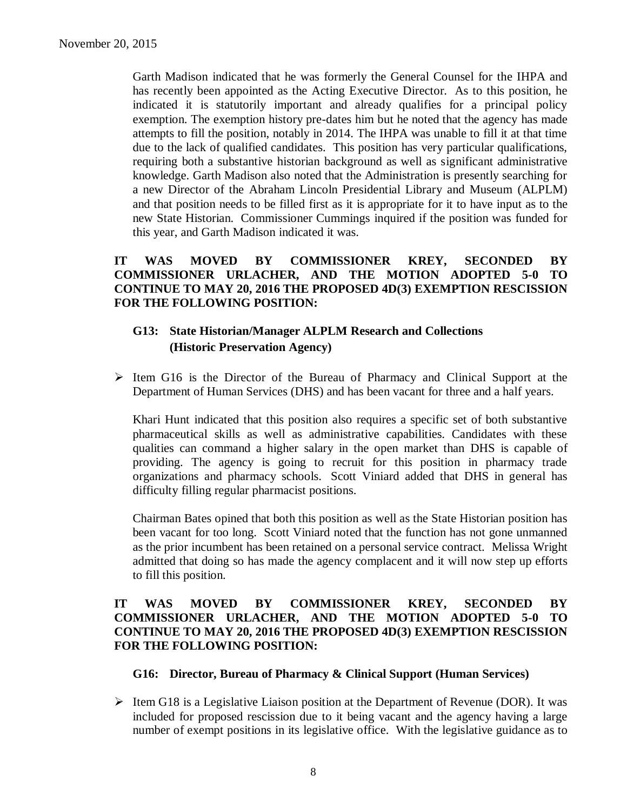Garth Madison indicated that he was formerly the General Counsel for the IHPA and has recently been appointed as the Acting Executive Director. As to this position, he indicated it is statutorily important and already qualifies for a principal policy exemption. The exemption history pre-dates him but he noted that the agency has made attempts to fill the position, notably in 2014. The IHPA was unable to fill it at that time due to the lack of qualified candidates. This position has very particular qualifications, requiring both a substantive historian background as well as significant administrative knowledge. Garth Madison also noted that the Administration is presently searching for a new Director of the Abraham Lincoln Presidential Library and Museum (ALPLM) and that position needs to be filled first as it is appropriate for it to have input as to the new State Historian. Commissioner Cummings inquired if the position was funded for this year, and Garth Madison indicated it was.

## **IT WAS MOVED BY COMMISSIONER KREY, SECONDED BY COMMISSIONER URLACHER, AND THE MOTION ADOPTED 5-0 TO CONTINUE TO MAY 20, 2016 THE PROPOSED 4D(3) EXEMPTION RESCISSION FOR THE FOLLOWING POSITION:**

## **G13: State Historian/Manager ALPLM Research and Collections (Historic Preservation Agency)**

 $\triangleright$  Item G16 is the Director of the Bureau of Pharmacy and Clinical Support at the Department of Human Services (DHS) and has been vacant for three and a half years.

Khari Hunt indicated that this position also requires a specific set of both substantive pharmaceutical skills as well as administrative capabilities. Candidates with these qualities can command a higher salary in the open market than DHS is capable of providing. The agency is going to recruit for this position in pharmacy trade organizations and pharmacy schools. Scott Viniard added that DHS in general has difficulty filling regular pharmacist positions.

Chairman Bates opined that both this position as well as the State Historian position has been vacant for too long. Scott Viniard noted that the function has not gone unmanned as the prior incumbent has been retained on a personal service contract. Melissa Wright admitted that doing so has made the agency complacent and it will now step up efforts to fill this position.

## **IT WAS MOVED BY COMMISSIONER KREY, SECONDED BY COMMISSIONER URLACHER, AND THE MOTION ADOPTED 5-0 TO CONTINUE TO MAY 20, 2016 THE PROPOSED 4D(3) EXEMPTION RESCISSION FOR THE FOLLOWING POSITION:**

#### **G16: Director, Bureau of Pharmacy & Clinical Support (Human Services)**

 $\triangleright$  Item G18 is a Legislative Liaison position at the Department of Revenue (DOR). It was included for proposed rescission due to it being vacant and the agency having a large number of exempt positions in its legislative office. With the legislative guidance as to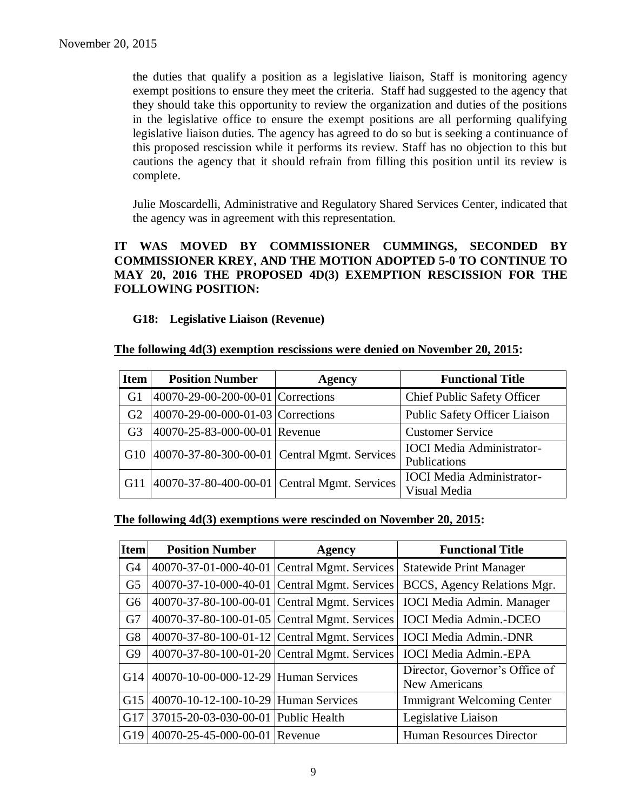the duties that qualify a position as a legislative liaison, Staff is monitoring agency exempt positions to ensure they meet the criteria. Staff had suggested to the agency that they should take this opportunity to review the organization and duties of the positions in the legislative office to ensure the exempt positions are all performing qualifying legislative liaison duties. The agency has agreed to do so but is seeking a continuance of this proposed rescission while it performs its review. Staff has no objection to this but cautions the agency that it should refrain from filling this position until its review is complete.

Julie Moscardelli, Administrative and Regulatory Shared Services Center, indicated that the agency was in agreement with this representation.

## **IT WAS MOVED BY COMMISSIONER CUMMINGS, SECONDED BY COMMISSIONER KREY, AND THE MOTION ADOPTED 5-0 TO CONTINUE TO MAY 20, 2016 THE PROPOSED 4D(3) EXEMPTION RESCISSION FOR THE FOLLOWING POSITION:**

## **G18: Legislative Liaison (Revenue)**

#### **The following 4d(3) exemption rescissions were denied on November 20, 2015:**

| <b>Item</b>    | <b>Position Number</b>                           | <b>Agency</b> | <b>Functional Title</b>                          |
|----------------|--------------------------------------------------|---------------|--------------------------------------------------|
| G1             | 40070-29-00-200-00-01 Corrections                |               | <b>Chief Public Safety Officer</b>               |
| G <sub>2</sub> | 40070-29-00-000-01-03 Corrections                |               | <b>Public Safety Officer Liaison</b>             |
| G <sub>3</sub> | 40070-25-83-000-00-01 Revenue                    |               | <b>Customer Service</b>                          |
|                | G10 40070-37-80-300-00-01 Central Mgmt. Services |               | <b>IOCI</b> Media Administrator-<br>Publications |
| G11            | 40070-37-80-400-00-01 Central Mgmt. Services     |               | <b>IOCI</b> Media Administrator-<br>Visual Media |

#### **The following 4d(3) exemptions were rescinded on November 20, 2015:**

| <b>Item</b>    | <b>Position Number</b>                         | <b>Agency</b> | <b>Functional Title</b>                         |
|----------------|------------------------------------------------|---------------|-------------------------------------------------|
| G <sub>4</sub> | 40070-37-01-000-40-01 Central Mgmt. Services   |               | <b>Statewide Print Manager</b>                  |
| G <sub>5</sub> | 40070-37-10-000-40-01 Central Mgmt. Services   |               | BCCS, Agency Relations Mgr.                     |
| G <sub>6</sub> | 40070-37-80-100-00-01 Central Mgmt. Services   |               | <b>IOCI</b> Media Admin. Manager                |
| G7             | 40070-37-80-100-01-05   Central Mgmt. Services |               | <b>IOCI</b> Media Admin.-DCEO                   |
| G <sub>8</sub> | 40070-37-80-100-01-12 Central Mgmt. Services   |               | <b>IOCI</b> Media Admin.-DNR                    |
| G <sub>9</sub> | 40070-37-80-100-01-20 Central Mgmt. Services   |               | <b>IOCI</b> Media Admin.-EPA                    |
| G14            | 40070-10-00-000-12-29 Human Services           |               | Director, Governor's Office of<br>New Americans |
| G15            | 40070-10-12-100-10-29 Human Services           |               | <b>Immigrant Welcoming Center</b>               |
| G17            | 37015-20-03-030-00-01 Public Health            |               | Legislative Liaison                             |
| G19            | 40070-25-45-000-00-01                          | Revenue       | <b>Human Resources Director</b>                 |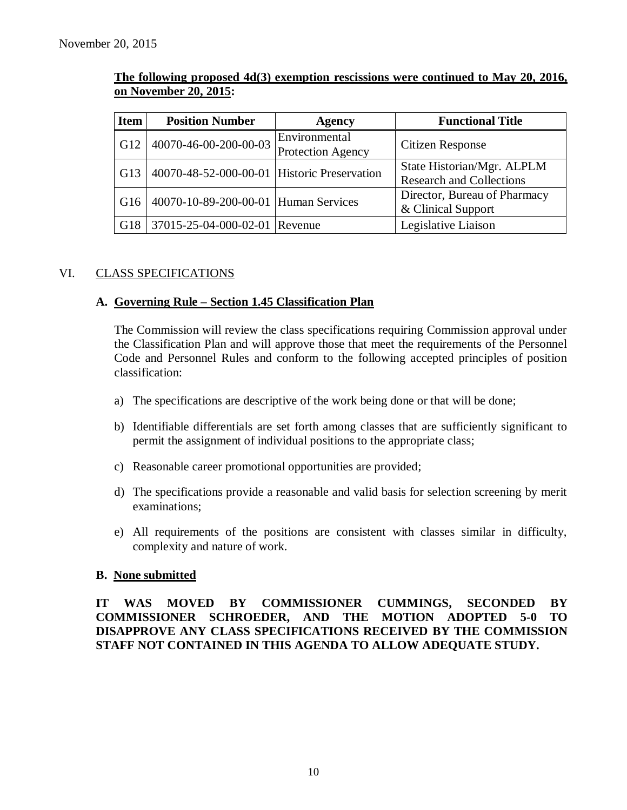| <b>Item</b> | <b>Position Number</b>                      | <b>Agency</b>                             | <b>Functional Title</b>                                       |
|-------------|---------------------------------------------|-------------------------------------------|---------------------------------------------------------------|
| G12         | 40070-46-00-200-00-03                       | Environmental<br><b>Protection Agency</b> | Citizen Response                                              |
| G13         | 40070-48-52-000-00-01 Historic Preservation |                                           | State Historian/Mgr. ALPLM<br><b>Research and Collections</b> |
| G16         | 40070-10-89-200-00-01 Human Services        |                                           | Director, Bureau of Pharmacy<br>& Clinical Support            |
| G18         | 37015-25-04-000-02-01 Revenue               |                                           | Legislative Liaison                                           |

## **The following proposed 4d(3) exemption rescissions were continued to May 20, 2016, on November 20, 2015:**

## VI. CLASS SPECIFICATIONS

#### **A. Governing Rule – Section 1.45 Classification Plan**

The Commission will review the class specifications requiring Commission approval under the Classification Plan and will approve those that meet the requirements of the Personnel Code and Personnel Rules and conform to the following accepted principles of position classification:

- a) The specifications are descriptive of the work being done or that will be done;
- b) Identifiable differentials are set forth among classes that are sufficiently significant to permit the assignment of individual positions to the appropriate class;
- c) Reasonable career promotional opportunities are provided;
- d) The specifications provide a reasonable and valid basis for selection screening by merit examinations;
- e) All requirements of the positions are consistent with classes similar in difficulty, complexity and nature of work.

#### **B. None submitted**

## **IT WAS MOVED BY COMMISSIONER CUMMINGS, SECONDED BY COMMISSIONER SCHROEDER, AND THE MOTION ADOPTED 5-0 TO DISAPPROVE ANY CLASS SPECIFICATIONS RECEIVED BY THE COMMISSION STAFF NOT CONTAINED IN THIS AGENDA TO ALLOW ADEQUATE STUDY.**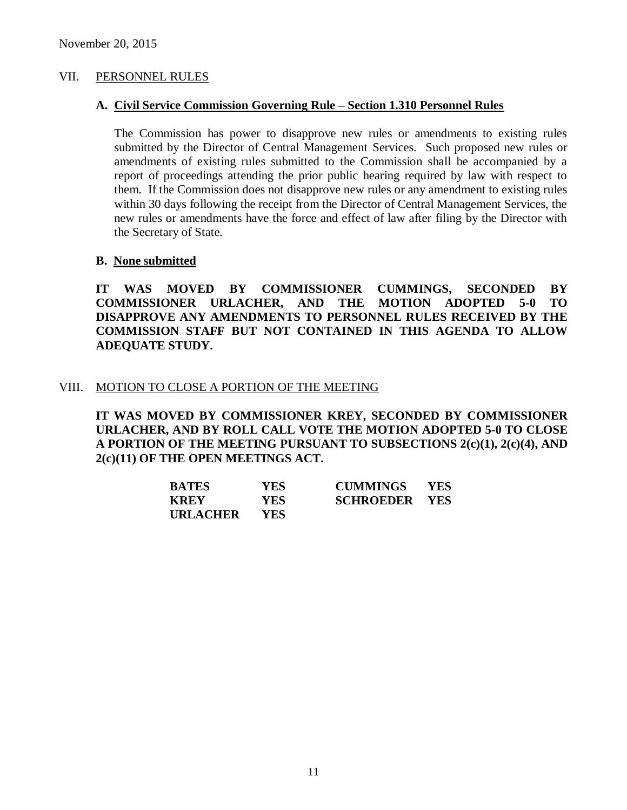#### VII. PERSONNEL RULES

#### **A. Civil Service Commission Governing Rule – Section 1.310 Personnel Rules**

The Commission has power to disapprove new rules or amendments to existing rules submitted by the Director of Central Management Services. Such proposed new rules or amendments of existing rules submitted to the Commission shall be accompanied by a report of proceedings attending the prior public hearing required by law with respect to them. If the Commission does not disapprove new rules or any amendment to existing rules within 30 days following the receipt from the Director of Central Management Services, the new rules or amendments have the force and effect of law after filing by the Director with the Secretary of State.

#### **B. None submitted**

**IT WAS MOVED BY COMMISSIONER CUMMINGS, SECONDED BY COMMISSIONER URLACHER, AND THE MOTION ADOPTED 5-0 TO DISAPPROVE ANY AMENDMENTS TO PERSONNEL RULES RECEIVED BY THE COMMISSION STAFF BUT NOT CONTAINED IN THIS AGENDA TO ALLOW ADEQUATE STUDY.** 

#### VIII. MOTION TO CLOSE A PORTION OF THE MEETING

**IT WAS MOVED BY COMMISSIONER KREY, SECONDED BY COMMISSIONER URLACHER, AND BY ROLL CALL VOTE THE MOTION ADOPTED 5-0 TO CLOSE A PORTION OF THE MEETING PURSUANT TO SUBSECTIONS 2(c)(1), 2(c)(4), AND 2(c)(11) OF THE OPEN MEETINGS ACT.**

| <b>BATES</b>    | YES- | <b>CUMMINGS</b>      | <b>YES</b> |
|-----------------|------|----------------------|------------|
| KREY            | YES- | <b>SCHROEDER YES</b> |            |
| <b>URLACHER</b> | YES. |                      |            |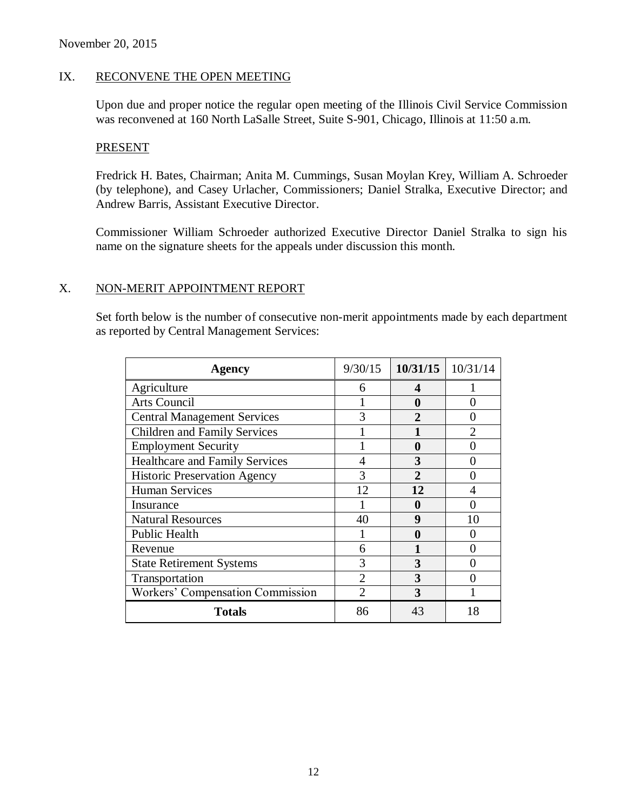## IX. RECONVENE THE OPEN MEETING

Upon due and proper notice the regular open meeting of the Illinois Civil Service Commission was reconvened at 160 North LaSalle Street, Suite S-901, Chicago, Illinois at 11:50 a.m.

#### **PRESENT**

Fredrick H. Bates, Chairman; Anita M. Cummings, Susan Moylan Krey, William A. Schroeder (by telephone), and Casey Urlacher, Commissioners; Daniel Stralka, Executive Director; and Andrew Barris, Assistant Executive Director.

Commissioner William Schroeder authorized Executive Director Daniel Stralka to sign his name on the signature sheets for the appeals under discussion this month.

## X. NON-MERIT APPOINTMENT REPORT

Set forth below is the number of consecutive non-merit appointments made by each department as reported by Central Management Services:

| Agency                                | 9/30/15        | 10/31/15       | 10/31/14 |
|---------------------------------------|----------------|----------------|----------|
| Agriculture                           | 6              | 4              |          |
| Arts Council                          |                | 0              |          |
| <b>Central Management Services</b>    | 3              | $\mathfrak{D}$ | 0        |
| <b>Children and Family Services</b>   |                |                | っ        |
| <b>Employment Security</b>            |                | 0              |          |
| <b>Healthcare and Family Services</b> |                | 3              |          |
| <b>Historic Preservation Agency</b>   | 3              | $\mathfrak{D}$ |          |
| <b>Human Services</b>                 | 12             | 12             |          |
| Insurance                             |                | O              |          |
| <b>Natural Resources</b>              | 40             | 9              | 10       |
| Public Health                         |                | 0              |          |
| Revenue                               | 6              |                |          |
| <b>State Retirement Systems</b>       | 3              | 3              |          |
| Transportation                        | $\overline{2}$ | 3              |          |
| Workers' Compensation Commission      | $\overline{2}$ | 3              |          |
| <b>Totals</b>                         | 86             | 43             | 18       |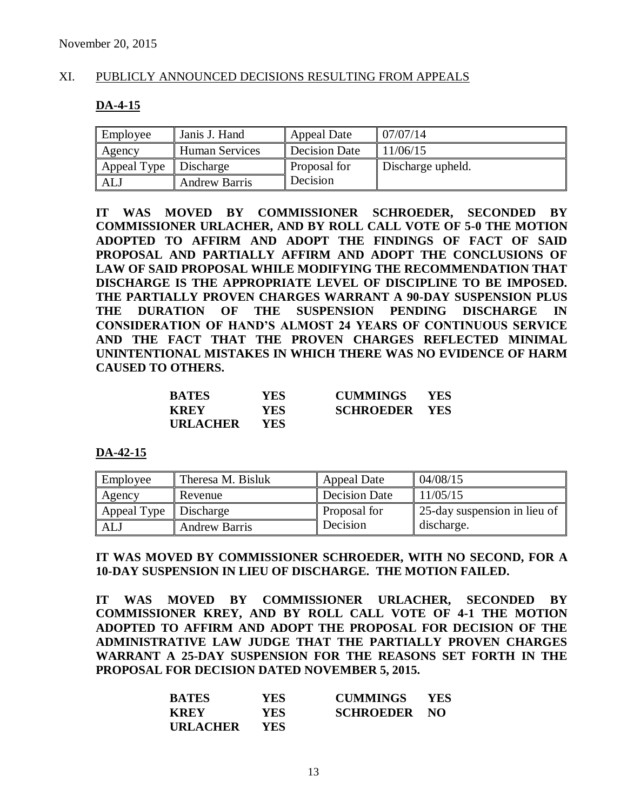#### XI. PUBLICLY ANNOUNCED DECISIONS RESULTING FROM APPEALS

#### **DA-4-15**

| Employee              | Janis J. Hand         | <b>Appeal Date</b>   | 07/07/14          |
|-----------------------|-----------------------|----------------------|-------------------|
| $\blacksquare$ Agency | <b>Human Services</b> | <b>Decision Date</b> | 11/06/15          |
| Appeal Type           | Discharge             | Proposal for         | Discharge upheld. |
| ALJ                   | <b>Andrew Barris</b>  | Decision             |                   |

**IT WAS MOVED BY COMMISSIONER SCHROEDER, SECONDED BY COMMISSIONER URLACHER, AND BY ROLL CALL VOTE OF 5-0 THE MOTION ADOPTED TO AFFIRM AND ADOPT THE FINDINGS OF FACT OF SAID PROPOSAL AND PARTIALLY AFFIRM AND ADOPT THE CONCLUSIONS OF LAW OF SAID PROPOSAL WHILE MODIFYING THE RECOMMENDATION THAT DISCHARGE IS THE APPROPRIATE LEVEL OF DISCIPLINE TO BE IMPOSED. THE PARTIALLY PROVEN CHARGES WARRANT A 90-DAY SUSPENSION PLUS THE DURATION OF THE SUSPENSION PENDING DISCHARGE IN CONSIDERATION OF HAND'S ALMOST 24 YEARS OF CONTINUOUS SERVICE AND THE FACT THAT THE PROVEN CHARGES REFLECTED MINIMAL UNINTENTIONAL MISTAKES IN WHICH THERE WAS NO EVIDENCE OF HARM CAUSED TO OTHERS.**

| <b>BATES</b>    | YES. | <b>CUMMINGS</b>      | <b>YES</b> |
|-----------------|------|----------------------|------------|
| <b>KREY</b>     | YES. | <b>SCHROEDER YES</b> |            |
| <b>URLACHER</b> | YES. |                      |            |

**DA-42-15**

| Employee                | Theresa M. Bisluk    | <b>Appeal Date</b>   | 04/08/15                     |
|-------------------------|----------------------|----------------------|------------------------------|
| Agency                  | Revenue              | <b>Decision Date</b> | 11/05/15                     |
| Appeal Type   Discharge |                      | Proposal for         | 25-day suspension in lieu of |
| ALJ                     | <b>Andrew Barris</b> | Decision             | discharge.                   |

**IT WAS MOVED BY COMMISSIONER SCHROEDER, WITH NO SECOND, FOR A 10-DAY SUSPENSION IN LIEU OF DISCHARGE. THE MOTION FAILED.**

**IT WAS MOVED BY COMMISSIONER URLACHER, SECONDED BY COMMISSIONER KREY, AND BY ROLL CALL VOTE OF 4-1 THE MOTION ADOPTED TO AFFIRM AND ADOPT THE PROPOSAL FOR DECISION OF THE ADMINISTRATIVE LAW JUDGE THAT THE PARTIALLY PROVEN CHARGES WARRANT A 25-DAY SUSPENSION FOR THE REASONS SET FORTH IN THE PROPOSAL FOR DECISION DATED NOVEMBER 5, 2015.**

| <b>BATES</b>    | YES-       | <b>CUMMINGS</b>     | <b>YES</b> |
|-----------------|------------|---------------------|------------|
| <b>KREY</b>     | <b>YES</b> | <b>SCHROEDER NO</b> |            |
| <b>URLACHER</b> | <b>YES</b> |                     |            |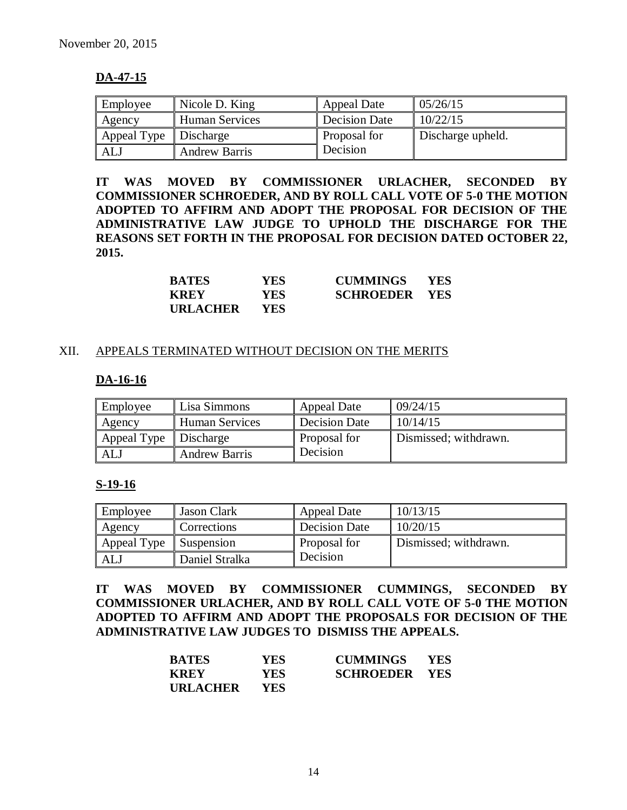## **DA-47-15**

| Employee                | Nicole D. King        | <b>Appeal Date</b>   | 05/26/15          |
|-------------------------|-----------------------|----------------------|-------------------|
| Agency                  | <b>Human Services</b> | <b>Decision Date</b> | 10/22/15          |
| Appeal Type   Discharge |                       | Proposal for         | Discharge upheld. |
| <b>ALJ</b>              | <b>Andrew Barris</b>  | Decision             |                   |

**IT WAS MOVED BY COMMISSIONER URLACHER, SECONDED BY COMMISSIONER SCHROEDER, AND BY ROLL CALL VOTE OF 5-0 THE MOTION ADOPTED TO AFFIRM AND ADOPT THE PROPOSAL FOR DECISION OF THE ADMINISTRATIVE LAW JUDGE TO UPHOLD THE DISCHARGE FOR THE REASONS SET FORTH IN THE PROPOSAL FOR DECISION DATED OCTOBER 22, 2015.**

| <b>BATES</b>    | YES. | <b>CUMMINGS</b>      | <b>YES</b> |
|-----------------|------|----------------------|------------|
| <b>KREY</b>     | YES. | <b>SCHROEDER YES</b> |            |
| <b>URLACHER</b> | YES. |                      |            |

#### XII. APPEALS TERMINATED WITHOUT DECISION ON THE MERITS

## **DA-16-16**

| Employee                | Lisa Simmons          | <b>Appeal Date</b>   | 09/24/15              |
|-------------------------|-----------------------|----------------------|-----------------------|
| Agency                  | <b>Human Services</b> | <b>Decision Date</b> | 10/14/15              |
| Appeal Type   Discharge |                       | <b>Proposal for</b>  | Dismissed; withdrawn. |
| AL.                     | <b>Andrew Barris</b>  | Decision             |                       |

#### **S-19-16**

| Employee    | Jason Clark    | <b>Appeal Date</b> | 10/13/15              |
|-------------|----------------|--------------------|-----------------------|
| Agency      | Corrections    | Decision Date      | 10/20/15              |
| Appeal Type | Suspension     | Proposal for       | Dismissed; withdrawn. |
| ALJ         | Daniel Stralka | Decision           |                       |

**IT WAS MOVED BY COMMISSIONER CUMMINGS, SECONDED BY COMMISSIONER URLACHER, AND BY ROLL CALL VOTE OF 5-0 THE MOTION ADOPTED TO AFFIRM AND ADOPT THE PROPOSALS FOR DECISION OF THE ADMINISTRATIVE LAW JUDGES TO DISMISS THE APPEALS.** 

| <b>BATES</b>    | <b>YES</b> | <b>CUMMINGS</b>      | <b>YES</b> |
|-----------------|------------|----------------------|------------|
| <b>KREY</b>     | YES.       | <b>SCHROEDER YES</b> |            |
| <b>URLACHER</b> | <b>YES</b> |                      |            |